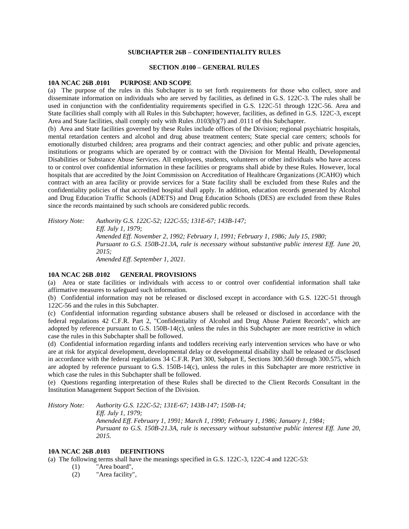#### **SUBCHAPTER 26B – CONFIDENTIALITY RULES**

#### **SECTION .0100 – GENERAL RULES**

#### **10A NCAC 26B .0101 PURPOSE AND SCOPE**

(a) The purpose of the rules in this Subchapter is to set forth requirements for those who collect, store and disseminate information on individuals who are served by facilities, as defined in G.S. 122C-3. The rules shall be used in conjunction with the confidentiality requirements specified in G.S. 122C-51 through 122C-56. Area and State facilities shall comply with all Rules in this Subchapter; however, facilities, as defined in G.S. 122C-3, except Area and State facilities, shall comply only with Rules .0103(b)(7) and .0111 of this Subchapter.

(b) Area and State facilities governed by these Rules include offices of the Division; regional psychiatric hospitals, mental retardation centers and alcohol and drug abuse treatment centers; State special care centers; schools for emotionally disturbed children; area programs and their contract agencies; and other public and private agencies, institutions or programs which are operated by or contract with the Division for Mental Health, Developmental Disabilities or Substance Abuse Services. All employees, students, volunteers or other individuals who have access to or control over confidential information in these facilities or programs shall abide by these Rules. However, local hospitals that are accredited by the Joint Commission on Accreditation of Healthcare Organizations (JCAHO) which contract with an area facility or provide services for a State facility shall be excluded from these Rules and the confidentiality policies of that accredited hospital shall apply. In addition, education records generated by Alcohol and Drug Education Traffic Schools (ADETS) and Drug Education Schools (DES) are excluded from these Rules since the records maintained by such schools are considered public records.

*History Note: Authority G.S. 122C-52; 122C-55; 131E-67; 143B-147; Eff. July 1, 1979; Amended Eff. November 2, 1992; February 1, 1991; February 1, 1986; July 15, 1980; Pursuant to G.S. 150B-21.3A, rule is necessary without substantive public interest Eff. June 20, 2015; Amended Eff. September 1, 2021.*

#### **10A NCAC 26B .0102 GENERAL PROVISIONS**

(a) Area or state facilities or individuals with access to or control over confidential information shall take affirmative measures to safeguard such information.

(b) Confidential information may not be released or disclosed except in accordance with G.S. 122C-51 through 122C-56 and the rules in this Subchapter.

(c) Confidential information regarding substance abusers shall be released or disclosed in accordance with the federal regulations 42 C.F.R. Part 2, "Confidentiality of Alcohol and Drug Abuse Patient Records", which are adopted by reference pursuant to G.S. 150B-14(c), unless the rules in this Subchapter are more restrictive in which case the rules in this Subchapter shall be followed.

(d) Confidential information regarding infants and toddlers receiving early intervention services who have or who are at risk for atypical development, developmental delay or developmental disability shall be released or disclosed in accordance with the federal regulations 34 C.F.R. Part 300, Subpart E, Sections 300.560 through 300.575, which are adopted by reference pursuant to G.S. 150B-14(c), unless the rules in this Subchapter are more restrictive in which case the rules in this Subchapter shall be followed.

(e) Questions regarding interpretation of these Rules shall be directed to the Client Records Consultant in the Institution Management Support Section of the Division.

*History Note: Authority G.S. 122C-52; 131E-67; 143B-147; 150B-14; Eff. July 1, 1979; Amended Eff. February 1, 1991; March 1, 1990; February 1, 1986; January 1, 1984; Pursuant to G.S. 150B-21.3A, rule is necessary without substantive public interest Eff. June 20, 2015.*

# **10A NCAC 26B .0103 DEFINITIONS**

(a) The following terms shall have the meanings specified in G.S. 122C-3, 122C-4 and 122C-53:

- (1) "Area board",
- (2) "Area facility",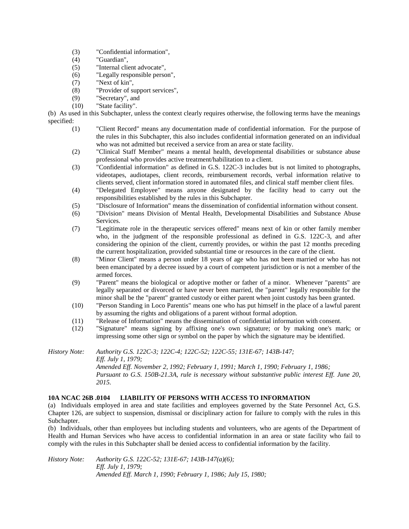- (3) "Confidential information",
- (4) "Guardian",
- (5) "Internal client advocate",
- (6) "Legally responsible person",
- (7) "Next of kin",
- (8) "Provider of support services",
- (9) "Secretary", and
- (10) "State facility".

(b) As used in this Subchapter, unless the context clearly requires otherwise, the following terms have the meanings specified:

- (1) "Client Record" means any documentation made of confidential information. For the purpose of the rules in this Subchapter, this also includes confidential information generated on an individual who was not admitted but received a service from an area or state facility.
- (2) "Clinical Staff Member" means a mental health, developmental disabilities or substance abuse professional who provides active treatment/habilitation to a client.
- (3) "Confidential information" as defined in G.S. 122C-3 includes but is not limited to photographs, videotapes, audiotapes, client records, reimbursement records, verbal information relative to clients served, client information stored in automated files, and clinical staff member client files.
- (4) "Delegated Employee" means anyone designated by the facility head to carry out the responsibilities established by the rules in this Subchapter.
- (5) "Disclosure of Information" means the dissemination of confidential information without consent.
- (6) "Division" means Division of Mental Health, Developmental Disabilities and Substance Abuse Services.
- (7) "Legitimate role in the therapeutic services offered" means next of kin or other family member who, in the judgment of the responsible professional as defined in G.S. 122C-3, and after considering the opinion of the client, currently provides, or within the past 12 months preceding the current hospitalization, provided substantial time or resources in the care of the client.
- (8) "Minor Client" means a person under 18 years of age who has not been married or who has not been emancipated by a decree issued by a court of competent jurisdiction or is not a member of the armed forces.
- (9) "Parent" means the biological or adoptive mother or father of a minor. Whenever "parents" are legally separated or divorced or have never been married, the "parent" legally responsible for the minor shall be the "parent" granted custody or either parent when joint custody has been granted.
- (10) "Person Standing in Loco Parentis" means one who has put himself in the place of a lawful parent by assuming the rights and obligations of a parent without formal adoption.
- (11) "Release of Information" means the dissemination of confidential information with consent.
- (12) "Signature" means signing by affixing one's own signature; or by making one's mark; or impressing some other sign or symbol on the paper by which the signature may be identified.

*History Note: Authority G.S. 122C-3; 122C-4; 122C-52; 122C-55; 131E-67; 143B-147; Eff. July 1, 1979; Amended Eff. November 2, 1992; February 1, 1991; March 1, 1990; February 1, 1986; Pursuant to G.S. 150B-21.3A, rule is necessary without substantive public interest Eff. June 20, 2015.*

# **10A NCAC 26B .0104 LIABILITY OF PERSONS WITH ACCESS TO INFORMATION**

(a) Individuals employed in area and state facilities and employees governed by the State Personnel Act, G.S. Chapter 126, are subject to suspension, dismissal or disciplinary action for failure to comply with the rules in this Subchapter.

(b) Individuals, other than employees but including students and volunteers, who are agents of the Department of Health and Human Services who have access to confidential information in an area or state facility who fail to comply with the rules in this Subchapter shall be denied access to confidential information by the facility.

*History Note: Authority G.S. 122C-52; 131E-67; 143B-147(a)(6); Eff. July 1, 1979; Amended Eff. March 1, 1990; February 1, 1986; July 15, 1980;*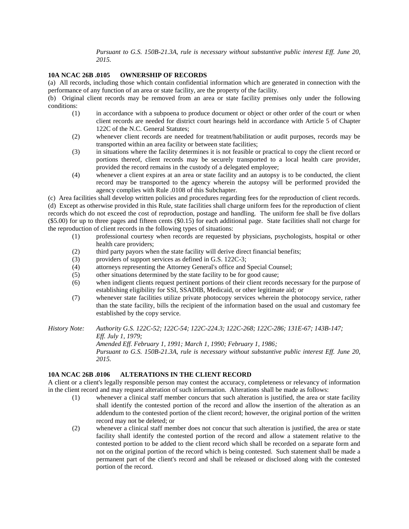*Pursuant to G.S. 150B-21.3A, rule is necessary without substantive public interest Eff. June 20, 2015.*

# **10A NCAC 26B .0105 OWNERSHIP OF RECORDS**

(a) All records, including those which contain confidential information which are generated in connection with the performance of any function of an area or state facility, are the property of the facility.

(b) Original client records may be removed from an area or state facility premises only under the following conditions:

- (1) in accordance with a subpoena to produce document or object or other order of the court or when client records are needed for district court hearings held in accordance with Article 5 of Chapter 122C of the N.C. General Statutes;
- (2) whenever client records are needed for treatment/habilitation or audit purposes, records may be transported within an area facility or between state facilities;
- (3) in situations where the facility determines it is not feasible or practical to copy the client record or portions thereof, client records may be securely transported to a local health care provider, provided the record remains in the custody of a delegated employee;
- (4) whenever a client expires at an area or state facility and an autopsy is to be conducted, the client record may be transported to the agency wherein the autopsy will be performed provided the agency complies with Rule .0108 of this Subchapter.

(c) Area facilities shall develop written policies and procedures regarding fees for the reproduction of client records. (d) Except as otherwise provided in this Rule, state facilities shall charge uniform fees for the reproduction of client records which do not exceed the cost of reproduction, postage and handling. The uniform fee shall be five dollars (\$5.00) for up to three pages and fifteen cents (\$0.15) for each additional page. State facilities shall not charge for the reproduction of client records in the following types of situations:

- (1) professional courtesy when records are requested by physicians, psychologists, hospital or other health care providers;
- (2) third party payors when the state facility will derive direct financial benefits;
- (3) providers of support services as defined in G.S. 122C-3;
- (4) attorneys representing the Attorney General's office and Special Counsel;
- (5) other situations determined by the state facility to be for good cause;
- (6) when indigent clients request pertinent portions of their client records necessary for the purpose of establishing eligibility for SSI, SSADIB, Medicaid, or other legitimate aid; or
- (7) whenever state facilities utilize private photocopy services wherein the photocopy service, rather than the state facility, bills the recipient of the information based on the usual and customary fee established by the copy service.

*History Note: Authority G.S. 122C-52; 122C-54; 122C-224.3; 122C-268; 122C-286; 131E-67; 143B-147; Eff. July 1, 1979; Amended Eff. February 1, 1991; March 1, 1990; February 1, 1986; Pursuant to G.S. 150B-21.3A, rule is necessary without substantive public interest Eff. June 20, 2015.*

# **10A NCAC 26B .0106 ALTERATIONS IN THE CLIENT RECORD**

A client or a client's legally responsible person may contest the accuracy, completeness or relevancy of information in the client record and may request alteration of such information. Alterations shall be made as follows:

- (1) whenever a clinical staff member concurs that such alteration is justified, the area or state facility shall identify the contested portion of the record and allow the insertion of the alteration as an addendum to the contested portion of the client record; however, the original portion of the written record may not be deleted; or
- (2) whenever a clinical staff member does not concur that such alteration is justified, the area or state facility shall identify the contested portion of the record and allow a statement relative to the contested portion to be added to the client record which shall be recorded on a separate form and not on the original portion of the record which is being contested. Such statement shall be made a permanent part of the client's record and shall be released or disclosed along with the contested portion of the record.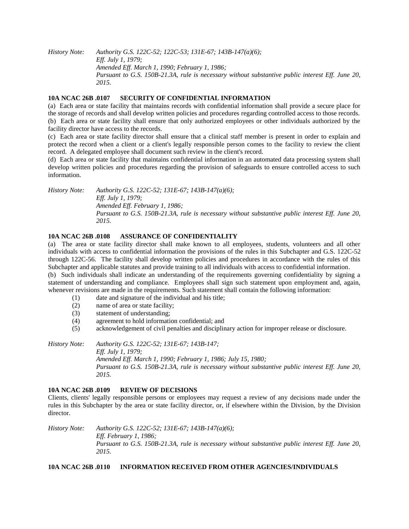*History Note: Authority G.S. 122C-52; 122C-53; 131E-67; 143B-147(a)(6); Eff. July 1, 1979; Amended Eff. March 1, 1990; February 1, 1986; Pursuant to G.S. 150B-21.3A, rule is necessary without substantive public interest Eff. June 20, 2015.*

### **10A NCAC 26B .0107 SECURITY OF CONFIDENTIAL INFORMATION**

(a) Each area or state facility that maintains records with confidential information shall provide a secure place for the storage of records and shall develop written policies and procedures regarding controlled access to those records. (b) Each area or state facility shall ensure that only authorized employees or other individuals authorized by the facility director have access to the records.

(c) Each area or state facility director shall ensure that a clinical staff member is present in order to explain and protect the record when a client or a client's legally responsible person comes to the facility to review the client record. A delegated employee shall document such review in the client's record.

(d) Each area or state facility that maintains confidential information in an automated data processing system shall develop written policies and procedures regarding the provision of safeguards to ensure controlled access to such information.

*History Note: Authority G.S. 122C-52; 131E-67; 143B-147(a)(6); Eff. July 1, 1979; Amended Eff. February 1, 1986; Pursuant to G.S. 150B-21.3A, rule is necessary without substantive public interest Eff. June 20, 2015.*

#### **10A NCAC 26B .0108 ASSURANCE OF CONFIDENTIALITY**

(a) The area or state facility director shall make known to all employees, students, volunteers and all other individuals with access to confidential information the provisions of the rules in this Subchapter and G.S. 122C-52 through 122C-56. The facility shall develop written policies and procedures in accordance with the rules of this Subchapter and applicable statutes and provide training to all individuals with access to confidential information. (b) Such individuals shall indicate an understanding of the requirements governing confidentiality by signing a statement of understanding and compliance. Employees shall sign such statement upon employment and, again, whenever revisions are made in the requirements. Such statement shall contain the following information:

- (1) date and signature of the individual and his title;
- (2) name of area or state facility;
- (3) statement of understanding;
- (4) agreement to hold information confidential; and
- (5) acknowledgement of civil penalties and disciplinary action for improper release or disclosure.

*History Note: Authority G.S. 122C-52; 131E-67; 143B-147;*

*Eff. July 1, 1979; Amended Eff. March 1, 1990; February 1, 1986; July 15, 1980; Pursuant to G.S. 150B-21.3A, rule is necessary without substantive public interest Eff. June 20, 2015.*

#### **10A NCAC 26B .0109 REVIEW OF DECISIONS**

Clients, clients' legally responsible persons or employees may request a review of any decisions made under the rules in this Subchapter by the area or state facility director, or, if elsewhere within the Division, by the Division director.

*History Note: Authority G.S. 122C-52; 131E-67; 143B-147(a)(6); Eff. February 1, 1986; Pursuant to G.S. 150B-21.3A, rule is necessary without substantive public interest Eff. June 20, 2015.*

# **10A NCAC 26B .0110 INFORMATION RECEIVED FROM OTHER AGENCIES/INDIVIDUALS**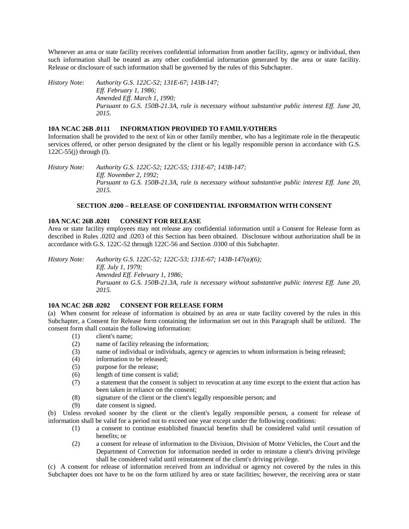Whenever an area or state facility receives confidential information from another facility, agency or individual, then such information shall be treated as any other confidential information generated by the area or state facility. Release or disclosure of such information shall be governed by the rules of this Subchapter.

*History Note: Authority G.S. 122C-52; 131E-67; 143B-147; Eff. February 1, 1986; Amended Eff. March 1, 1990; Pursuant to G.S. 150B-21.3A, rule is necessary without substantive public interest Eff. June 20, 2015.*

#### **10A NCAC 26B .0111 INFORMATION PROVIDED TO FAMILY/OTHERS**

Information shall be provided to the next of kin or other family member, who has a legitimate role in the therapeutic services offered, or other person designated by the client or his legally responsible person in accordance with G.S. 122C-55(j) through (l).

*History Note: Authority G.S. 122C-52; 122C-55; 131E-67; 143B-147; Eff. November 2, 1992; Pursuant to G.S. 150B-21.3A, rule is necessary without substantive public interest Eff. June 20, 2015.*

# **SECTION .0200 – RELEASE OF CONFIDENTIAL INFORMATION WITH CONSENT**

### **10A NCAC 26B .0201 CONSENT FOR RELEASE**

Area or state facility employees may not release any confidential information until a Consent for Release form as described in Rules .0202 and .0203 of this Section has been obtained. Disclosure without authorization shall be in accordance with G.S. 122C-52 through 122C-56 and Section .0300 of this Subchapter.

*History Note: Authority G.S. 122C-52; 122C-53; 131E-67; 143B-147(a)(6); Eff. July 1, 1979; Amended Eff. February 1, 1986; Pursuant to G.S. 150B-21.3A, rule is necessary without substantive public interest Eff. June 20, 2015.*

# **10A NCAC 26B .0202 CONSENT FOR RELEASE FORM**

(a) When consent for release of information is obtained by an area or state facility covered by the rules in this Subchapter, a Consent for Release form containing the information set out in this Paragraph shall be utilized. The consent form shall contain the following information:

- (1) client's name;
- (2) name of facility releasing the information;
- (3) name of individual or individuals, agency or agencies to whom information is being released;
- (4) information to be released;
- (5) purpose for the release;
- (6) length of time consent is valid;
- (7) a statement that the consent is subject to revocation at any time except to the extent that action has been taken in reliance on the consent;
- (8) signature of the client or the client's legally responsible person; and
- (9) date consent is signed.

(b) Unless revoked sooner by the client or the client's legally responsible person, a consent for release of information shall be valid for a period not to exceed one year except under the following conditions:

- (1) a consent to continue established financial benefits shall be considered valid until cessation of benefits; or
- (2) a consent for release of information to the Division, Division of Motor Vehicles, the Court and the Department of Correction for information needed in order to reinstate a client's driving privilege shall be considered valid until reinstatement of the client's driving privilege.

(c) A consent for release of information received from an individual or agency not covered by the rules in this Subchapter does not have to be on the form utilized by area or state facilities; however, the receiving area or state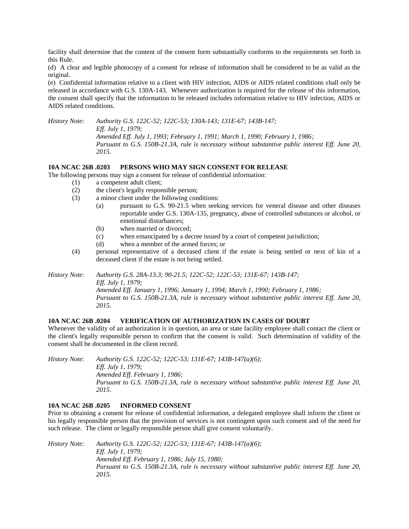facility shall determine that the content of the consent form substantially conforms to the requirements set forth in this Rule.

(d) A clear and legible photocopy of a consent for release of information shall be considered to be as valid as the original.

(e) Confidential information relative to a client with HIV infection, AIDS or AIDS related conditions shall only be released in accordance with G.S. 130A-143. Whenever authorization is required for the release of this information, the consent shall specify that the information to be released includes information relative to HIV infection, AIDS or AIDS related conditions.

*History Note: Authority G.S. 122C-52; 122C-53; 130A-143; 131E-67; 143B-147; Eff. July 1, 1979; Amended Eff. July 1, 1993; February 1, 1991; March 1, 1990; February 1, 1986; Pursuant to G.S. 150B-21.3A, rule is necessary without substantive public interest Eff. June 20, 2015.*

### **10A NCAC 26B .0203 PERSONS WHO MAY SIGN CONSENT FOR RELEASE**

The following persons may sign a consent for release of confidential information:

- (1) a competent adult client;
- (2) the client's legally responsible person;
- (3) a minor client under the following conditions:
	- (a) pursuant to G.S. 90-21.5 when seeking services for veneral disease and other diseases reportable under G.S. 130A-135, pregnancy, abuse of controlled substances or alcohol, or emotional disturbances;
	- (b) when married or divorced;
	- (c) when emancipated by a decree issued by a court of competent jurisdiction;
	- (d) when a member of the armed forces; or
- (4) personal representative of a deceased client if the estate is being settled or next of kin of a deceased client if the estate is not being settled.

*History Note: Authority G.S. 28A-13.3; 90-21.5; 122C-52; 122C-53; 131E-67; 143B-147; Eff. July 1, 1979; Amended Eff. January 1, 1996; January 1, 1994; March 1, 1990; February 1, 1986; Pursuant to G.S. 150B-21.3A, rule is necessary without substantive public interest Eff. June 20, 2015.*

#### **10A NCAC 26B .0204 VERIFICATION OF AUTHORIZATION IN CASES OF DOUBT**

Whenever the validity of an authorization is in question, an area or state facility employee shall contact the client or the client's legally responsible person to confirm that the consent is valid. Such determination of validity of the consent shall be documented in the client record.

*History Note: Authority G.S. 122C-52; 122C-53; 131E-67; 143B-147(a)(6); Eff. July 1, 1979; Amended Eff. February 1, 1986; Pursuant to G.S. 150B-21.3A, rule is necessary without substantive public interest Eff. June 20, 2015.*

# **10A NCAC 26B .0205 INFORMED CONSENT**

Prior to obtaining a consent for release of confidential information, a delegated employee shall inform the client or his legally responsible person that the provision of services is not contingent upon such consent and of the need for such release. The client or legally responsible person shall give consent voluntarily.

*History Note: Authority G.S. 122C-52; 122C-53; 131E-67; 143B-147(a)(6); Eff. July 1, 1979; Amended Eff. February 1, 1986; July 15, 1980; Pursuant to G.S. 150B-21.3A, rule is necessary without substantive public interest Eff. June 20, 2015.*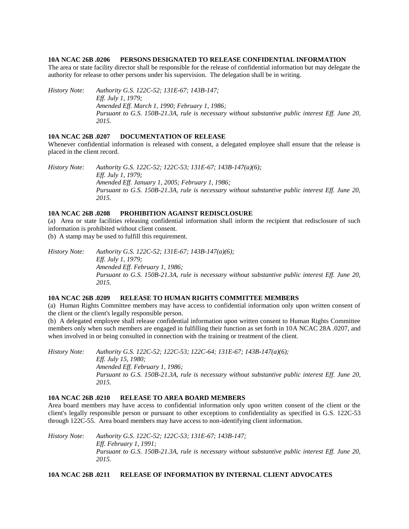### **10A NCAC 26B .0206 PERSONS DESIGNATED TO RELEASE CONFIDENTIAL INFORMATION**

The area or state facility director shall be responsible for the release of confidential information but may delegate the authority for release to other persons under his supervision. The delegation shall be in writing.

*History Note: Authority G.S. 122C-52; 131E-67; 143B-147; Eff. July 1, 1979; Amended Eff. March 1, 1990; February 1, 1986; Pursuant to G.S. 150B-21.3A, rule is necessary without substantive public interest Eff. June 20, 2015.*

#### **10A NCAC 26B .0207 DOCUMENTATION OF RELEASE**

Whenever confidential information is released with consent, a delegated employee shall ensure that the release is placed in the client record.

*History Note: Authority G.S. 122C-52; 122C-53; 131E-67; 143B-147(a)(6); Eff. July 1, 1979; Amended Eff. January 1, 2005; February 1, 1986; Pursuant to G.S. 150B-21.3A, rule is necessary without substantive public interest Eff. June 20, 2015.*

### **10A NCAC 26B .0208 PROHIBITION AGAINST REDISCLOSURE**

(a) Area or state facilities releasing confidential information shall inform the recipient that redisclosure of such information is prohibited without client consent.

(b) A stamp may be used to fulfill this requirement.

*History Note: Authority G.S. 122C-52; 131E-67; 143B-147(a)(6); Eff. July 1, 1979; Amended Eff. February 1, 1986; Pursuant to G.S. 150B-21.3A, rule is necessary without substantive public interest Eff. June 20, 2015.*

#### **10A NCAC 26B .0209 RELEASE TO HUMAN RIGHTS COMMITTEE MEMBERS**

(a) Human Rights Committee members may have access to confidential information only upon written consent of the client or the client's legally responsible person.

(b) A delegated employee shall release confidential information upon written consent to Human Rights Committee members only when such members are engaged in fulfilling their function as set forth in 10A NCAC 28A .0207, and when involved in or being consulted in connection with the training or treatment of the client.

*History Note: Authority G.S. 122C-52; 122C-53; 122C-64; 131E-67; 143B-147(a)(6); Eff. July 15, 1980; Amended Eff. February 1, 1986; Pursuant to G.S. 150B-21.3A, rule is necessary without substantive public interest Eff. June 20, 2015.*

## **10A NCAC 26B .0210 RELEASE TO AREA BOARD MEMBERS**

Area board members may have access to confidential information only upon written consent of the client or the client's legally responsible person or pursuant to other exceptions to confidentiality as specified in G.S. 122C-53 through 122C-55. Area board members may have access to non-identifying client information.

*History Note: Authority G.S. 122C-52; 122C-53; 131E-67; 143B-147; Eff. February 1, 1991; Pursuant to G.S. 150B-21.3A, rule is necessary without substantive public interest Eff. June 20, 2015.*

### **10A NCAC 26B .0211 RELEASE OF INFORMATION BY INTERNAL CLIENT ADVOCATES**